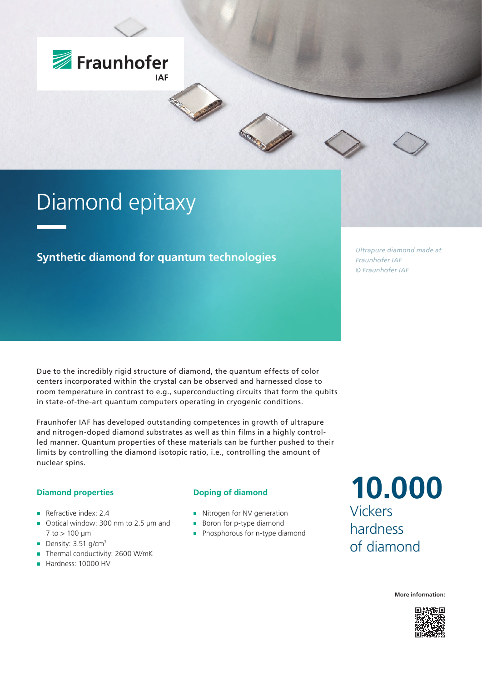

# Diamond epitaxy

### **Synthetic diamond for quantum technologies**

*Ultrapure diamond made at Fraunhofer IAF © Fraunhofer IAF*

Due to the incredibly rigid structure of diamond, the quantum effects of color centers incorporated within the crystal can be observed and harnessed close to room temperature in contrast to e.g., superconducting circuits that form the qubits in state-of-the-art quantum computers operating in cryogenic conditions.

Fraunhofer IAF has developed outstanding competences in growth of ultrapure and nitrogen-doped diamond substrates as well as thin films in a highly controlled manner. Quantum properties of these materials can be further pushed to their limits by controlling the diamond isotopic ratio, i.e., controlling the amount of nuclear spins.

### **Diamond properties**

- Refractive index:  $2.4$
- Optical window: 300 nm to 2.5 µm and  $\mathbf{u}$  $7$  to  $> 100 \mu m$
- Density:  $3.51$  g/cm<sup>3</sup>
- Thermal conductivity: 2600 W/mK
- Hardness: 10000 HV

#### **Doping of diamond**

- Nitrogen for NV generation
- Boron for p-type diamond
- **Phosphorous for n-type diamond**

**10.000** Vickers hardness of diamond

**More information:**